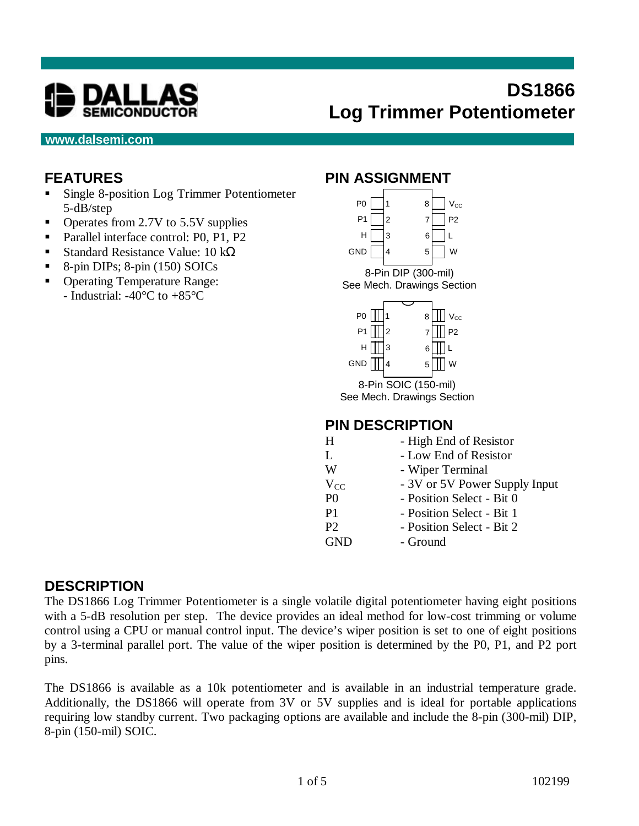

# **DS1866 Log Trimmer Potentiometer**

#### **www.dalsemi.com**

### **FEATURES**

- **Single 8-position Log Trimmer Potentiometer** 5-dB/step
- Operates from 2.7V to 5.5V supplies
- Parallel interface control: P0, P1, P2
- Standard Resistance Value: 10 kΩ
- $\blacksquare$  8-pin DIPs; 8-pin (150) SOICs
- ß Operating Temperature Range: - Industrial: -40°C to +85°C

#### **PIN ASSIGNMENT**



### **PIN DESCRIPTION**

| H              | - High End of Resistor        |
|----------------|-------------------------------|
| L              | - Low End of Resistor         |
| W              | - Wiper Terminal              |
| $V_{CC}$       | - 3V or 5V Power Supply Input |
| P <sub>0</sub> | - Position Select - Bit 0     |
| P <sub>1</sub> | - Position Select - Bit 1     |
| P <sub>2</sub> | - Position Select - Bit 2     |
| <b>GND</b>     | - Ground                      |
|                |                               |

#### **DESCRIPTION**

The DS1866 Log Trimmer Potentiometer is a single volatile digital potentiometer having eight positions with a 5-dB resolution per step. The device provides an ideal method for low-cost trimming or volume control using a CPU or manual control input. The device's wiper position is set to one of eight positions by a 3-terminal parallel port. The value of the wiper position is determined by the P0, P1, and P2 port pins.

The DS1866 is available as a 10k potentiometer and is available in an industrial temperature grade. Additionally, the DS1866 will operate from 3V or 5V supplies and is ideal for portable applications requiring low standby current. Two packaging options are available and include the 8-pin (300-mil) DIP, 8-pin (150-mil) SOIC.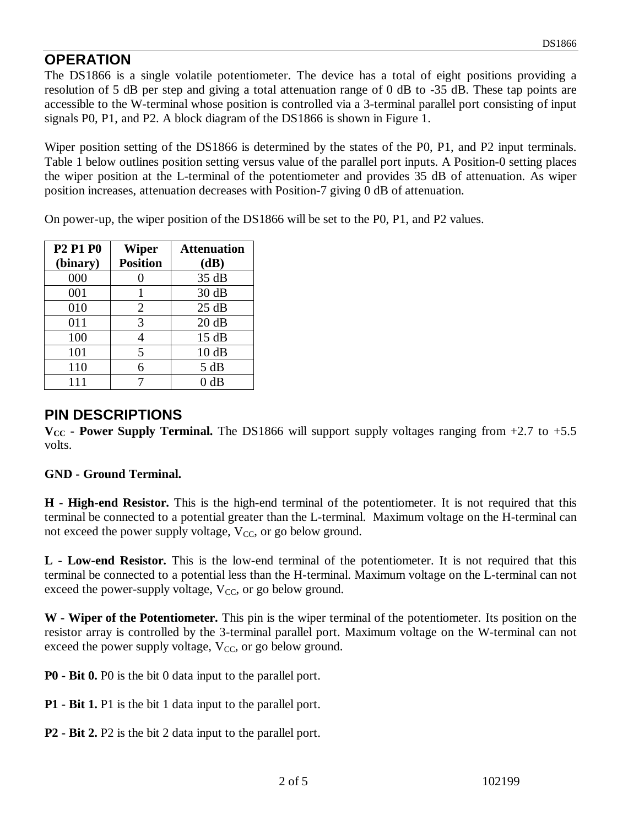### **OPERATION**

The DS1866 is a single volatile potentiometer. The device has a total of eight positions providing a resolution of 5 dB per step and giving a total attenuation range of 0 dB to -35 dB. These tap points are accessible to the W-terminal whose position is controlled via a 3-terminal parallel port consisting of input signals P0, P1, and P2. A block diagram of the DS1866 is shown in Figure 1.

Wiper position setting of the DS1866 is determined by the states of the P0, P1, and P2 input terminals. Table 1 below outlines position setting versus value of the parallel port inputs. A Position-0 setting places the wiper position at the L-terminal of the potentiometer and provides 35 dB of attenuation. As wiper position increases, attenuation decreases with Position-7 giving 0 dB of attenuation.

On power-up, the wiper position of the DS1866 will be set to the P0, P1, and P2 values.

| <b>P2 P1 P0</b> | <b>Wiper</b>    | <b>Attenuation</b> |
|-----------------|-----------------|--------------------|
| (binary)        | <b>Position</b> | (dB)               |
| 000             |                 | 35 dB              |
| 001             |                 | 30 dB              |
| 010             | $\overline{2}$  | 25 dB              |
| 011             | 3               | 20dB               |
| 100             |                 | 15dB               |
| 101             | 5               | 10dB               |
| 110             | 6               | 5 dB               |
| 111             |                 | 0 dB               |

#### **PIN DESCRIPTIONS**

 $V_{CC}$  **- Power Supply Terminal.** The DS1866 will support supply voltages ranging from  $+2.7$  to  $+5.5$ volts.

#### **GND - Ground Terminal.**

**H - High-end Resistor.** This is the high-end terminal of the potentiometer. It is not required that this terminal be connected to a potential greater than the L-terminal. Maximum voltage on the H-terminal can not exceed the power supply voltage,  $V_{CC}$ , or go below ground.

**L - Low-end Resistor.** This is the low-end terminal of the potentiometer. It is not required that this terminal be connected to a potential less than the H-terminal. Maximum voltage on the L-terminal can not exceed the power-supply voltage,  $V_{CC}$ , or go below ground.

**W - Wiper of the Potentiometer.** This pin is the wiper terminal of the potentiometer. Its position on the resistor array is controlled by the 3-terminal parallel port. Maximum voltage on the W-terminal can not exceed the power supply voltage,  $V_{CC}$ , or go below ground.

**P0 - Bit 0.** P0 is the bit 0 data input to the parallel port.

**P1 - Bit 1.** P1 is the bit 1 data input to the parallel port.

**P2 - Bit 2.** P2 is the bit 2 data input to the parallel port.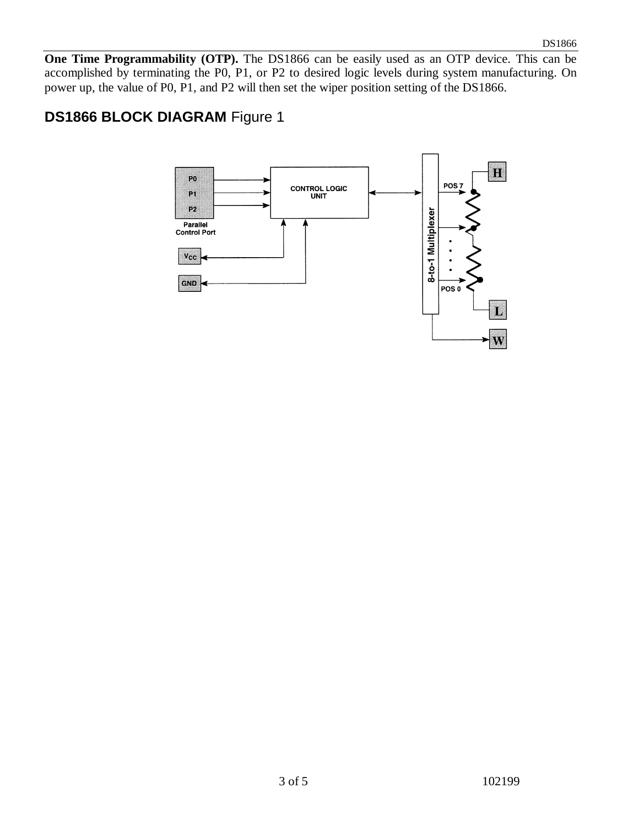**One Time Programmability (OTP).** The DS1866 can be easily used as an OTP device. This can be accomplished by terminating the P0, P1, or P2 to desired logic levels during system manufacturing. On power up, the value of P0, P1, and P2 will then set the wiper position setting of the DS1866.

## **DS1866 BLOCK DIAGRAM** Figure 1

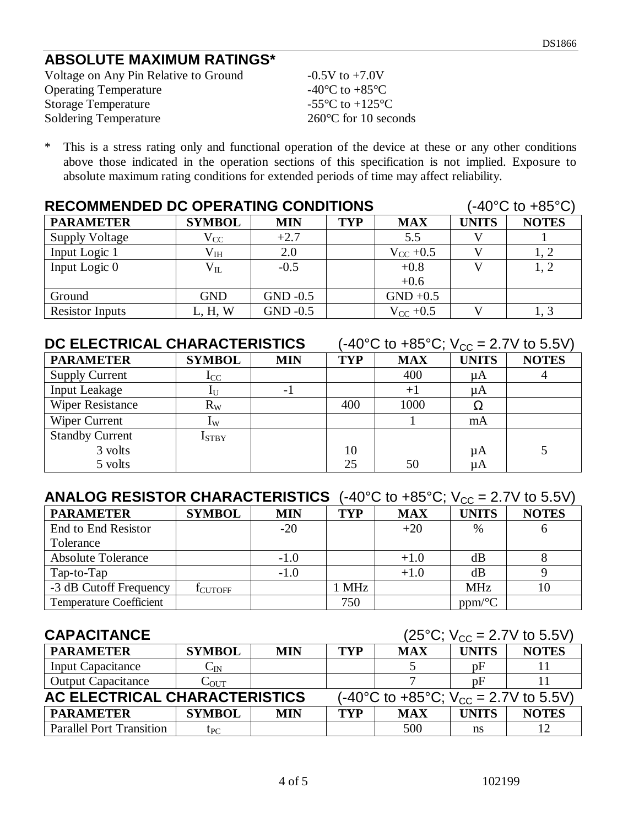## **ABSOLUTE MAXIMUM RATINGS\***

| Voltage on Any Pin Relative to Ground | $-0.5V$ to $+7.0V$                                    |
|---------------------------------------|-------------------------------------------------------|
| <b>Operating Temperature</b>          | -40 $\rm{^{\circ}C}$ to +85 $\rm{^{\circ}C}$          |
| <b>Storage Temperature</b>            | -55 $\mathrm{^{\circ}C}$ to +125 $\mathrm{^{\circ}C}$ |
| <b>Soldering Temperature</b>          | $260^{\circ}$ C for 10 seconds                        |

\* This is a stress rating only and functional operation of the device at these or any other conditions above those indicated in the operation sections of this specification is not implied. Exposure to absolute maximum rating conditions for extended periods of time may affect reliability.

| <b>RECOMMENDED DC OPERATING CONDITIONS</b> |               |            |            |               | (-40°C to +85°C) |              |
|--------------------------------------------|---------------|------------|------------|---------------|------------------|--------------|
| <b>PARAMETER</b>                           | <b>SYMBOL</b> | <b>MIN</b> | <b>TYP</b> | <b>MAX</b>    | <b>UNITS</b>     | <b>NOTES</b> |
| <b>Supply Voltage</b>                      | $\rm V_{CC}$  | $+2.7$     |            | 5.5           |                  |              |
| Input Logic 1                              | $\rm V_{IH}$  | 2.0        |            | $V_{CC} +0.5$ |                  | 1, 2         |
| Input Logic 0                              | $V_{IL}$      | $-0.5$     |            | $+0.8$        |                  | 1, 2         |
|                                            |               |            |            | $+0.6$        |                  |              |
| Ground                                     | <b>GND</b>    | $GND -0.5$ |            | $GND +0.5$    |                  |              |
| <b>Resistor Inputs</b>                     | L, H, W       | $GND -0.5$ |            | $V_{CC}$ +0.5 |                  |              |

| DC ELECTRICAL CHARACTERISTICS |                           |            | $(-40^{\circ}$ C to $+85^{\circ}$ C; V <sub>CC</sub> = 2.7V to 5.5V) |            |              |              |
|-------------------------------|---------------------------|------------|----------------------------------------------------------------------|------------|--------------|--------------|
| <b>PARAMETER</b>              | <b>SYMBOL</b>             | <b>MIN</b> | <b>TYP</b>                                                           | <b>MAX</b> | <b>UNITS</b> | <b>NOTES</b> |
| <b>Supply Current</b>         | $I_{CC}$                  |            |                                                                      | 400        | μA           |              |
| <b>Input Leakage</b>          | $\mathbf{l}_{\mathrm{U}}$ | $-1$       |                                                                      | $+1$       | иA           |              |
| <b>Wiper Resistance</b>       | $R_W$                     |            | 400                                                                  | 1000       | Ω            |              |
| Wiper Current                 | $\mathrm{I}_\mathrm{W}$   |            |                                                                      |            | mA           |              |
| <b>Standby Current</b>        | <b>I</b> STBY             |            |                                                                      |            |              |              |
| 3 volts                       |                           |            | 10                                                                   |            | μA           |              |
| 5 volts                       |                           |            | 25                                                                   | 50         | $\mu A$      |              |

## **ANALOG RESISTOR CHARACTERISTICS**  $(-40^{\circ}\text{C}$  to  $+85^{\circ}\text{C}$ ;  $V_{CC} = 2.7\text{V}$  to 5.5V)

| <b>PARAMETER</b>               | <b>SYMBOL</b>  | <b>MIN</b> | <b>TYP</b> | <b>MAX</b> | <b>UNITS</b>         | <b>NOTES</b> |
|--------------------------------|----------------|------------|------------|------------|----------------------|--------------|
| End to End Resistor            |                | $-20$      |            | $+20$      | $\%$                 |              |
| Tolerance                      |                |            |            |            |                      |              |
| <b>Absolute Tolerance</b>      |                | $-1.0$     |            | $+1.0$     | dB                   |              |
| $Tap-to-Tap$                   |                | $-1.0$     |            | $+1.0$     | dB                   |              |
| -3 dB Cutoff Frequency         | <b>ICUTOFF</b> |            | <b>MHz</b> |            | <b>MHz</b>           | 10           |
| <b>Temperature Coefficient</b> |                |            | 750        |            | $ppm$ <sup>o</sup> C |              |

| <b>CAPACITANCE</b><br>$(25^{\circ}C; V_{CC} = 2.7V$ to 5.5V) |                  |            |                                                                       |            |              |              |
|--------------------------------------------------------------|------------------|------------|-----------------------------------------------------------------------|------------|--------------|--------------|
| <b>PARAMETER</b>                                             | <b>SYMBOL</b>    | <b>MIN</b> | <b>TYP</b>                                                            | <b>MAX</b> | <b>UNITS</b> | <b>NOTES</b> |
| <b>Input Capacitance</b>                                     | $C_{IN}$         |            |                                                                       |            | pF           |              |
| <b>Output Capacitance</b>                                    | $C_{\text{OUT}}$ |            |                                                                       |            | pΕ           |              |
| AC ELECTRICAL CHARACTERISTICS                                |                  |            | $(-40^{\circ}$ C to +85 $^{\circ}$ C; V <sub>CC</sub> = 2.7V to 5.5V) |            |              |              |
| <b>PARAMETER</b>                                             | <b>SYMBOL</b>    | <b>MIN</b> | TYP                                                                   | <b>MAX</b> | <b>UNITS</b> | <b>NOTES</b> |
| <b>Parallel Port Transition</b>                              | t <sub>PC</sub>  |            |                                                                       | 500        | ns           | 12           |